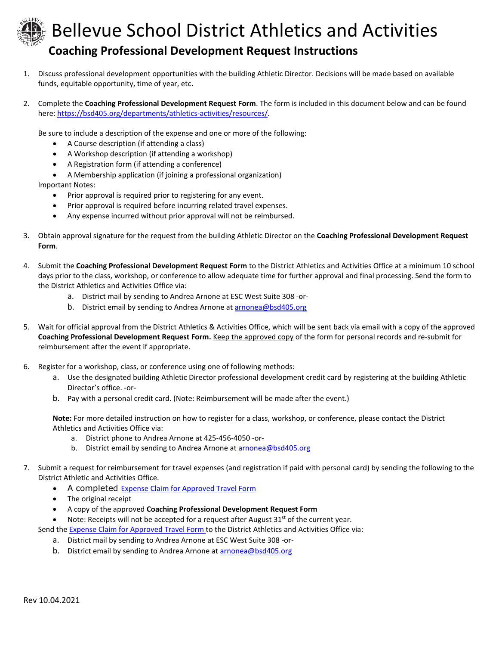

## Bellevue School District Athletics and Activities **Coaching Professional Development Request Instructions**

- 1. Discuss professional development opportunities with the building Athletic Director. Decisions will be made based on available funds, equitable opportunity, time of year, etc.
- 2. Complete the **Coaching Professional Development Request Form**. The form is included in this document below and can be found here[: https://bsd405.org/departments/athletics-activities/resources/.](https://bsd405.org/departments/athletics-activities/resources/)

Be sure to include a description of the expense and one or more of the following:

- A Course description (if attending a class)
- A Workshop description (if attending a workshop)
- A Registration form (if attending a conference)
- A Membership application (if joining a professional organization)

Important Notes:

- Prior approval is required prior to registering for any event.
- Prior approval is required before incurring related travel expenses.
- Any expense incurred without prior approval will not be reimbursed.
- 3. Obtain approval signature for the request from the building Athletic Director on the **Coaching Professional Development Request Form**.
- 4. Submit the **Coaching Professional Development Request Form** to the District Athletics and Activities Office at a minimum 10 school days prior to the class, workshop, or conference to allow adequate time for further approval and final processing. Send the form to the District Athletics and Activities Office via:
	- a. District mail by sending to Andrea Arnone at ESC West Suite 308 -or-
	- b. District email by sending to Andrea Arnone at [arnonea@bsd405.org](mailto:arnonea@bsd405.org)
- 5. Wait for official approval from the District Athletics & Activities Office, which will be sent back via email with a copy of the approved **Coaching Professional Development Request Form.** Keep the approved copy of the form for personal records and re-submit for reimbursement after the event if appropriate.
- 6. Register for a workshop, class, or conference using one of following methods:
	- a. Use the designated building Athletic Director professional development credit card by registering at the building Athletic Director's office. -or-
	- b. Pay with a personal credit card. (Note: Reimbursement will be made after the event.)

**Note:** For more detailed instruction on how to register for a class, workshop, or conference, please contact the District Athletics and Activities Office via:

- a. District phone to Andrea Arnone at 425-456-4050 -or-
- b. District email by sending to Andrea Arnone a[t arnonea@bsd405.org](mailto:arnonea@bsd405.org)
- 7. Submit a request for reimbursement for travel expenses (and registration if paid with personal card) by sending the following to the District Athletic and Activities Office.
	- A completed [Expense Claim for Approved Travel Form](https://bsd405.sharepoint.com/sites/businessservices/Forms/TRAVEL%20FORMS%20&%20INFO%20FOLDER/Expense%20Claim%20for%20Approved%20Travel-.pdf)
	- The original receipt
	- A copy of the approved **Coaching Professional Development Request Form**

Note: Receipts will not be accepted for a request after August 31<sup>st</sup> of the current year.

Send the Expense [Claim for Approved Travel Form](https://bsd405.sharepoint.com/sites/businessservices/Forms/TRAVEL%20FORMS%20&%20INFO%20FOLDER/Expense%20Claim%20for%20Approved%20Travel-.pdf) to the District Athletics and Activities Office via:

- a. District mail by sending to Andrea Arnone at ESC West Suite 308 -or-
- b. District email by sending to Andrea Arnone at [arnonea@bsd405.org](mailto:arnonea@bsd405.org)